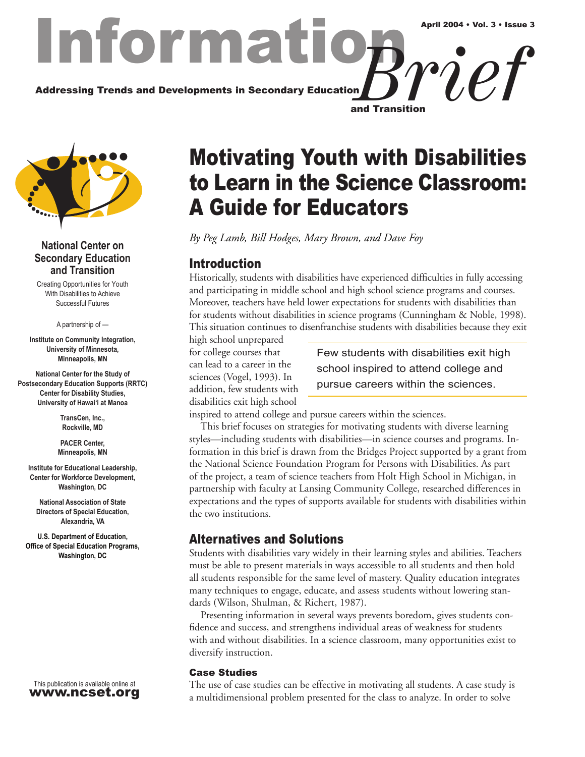## Informat Addressing Trends and Developments in Secondary Education and Transition *Brief* April 2004 • Vol. 3 • Issue 3



#### **National Center on Secondary Education and Transition**

Creating Opportunities for Youth With Disabilities to Achieve Successful Futures

A partnership of —

**Institute on Community Integration, University of Minnesota, Minneapolis, MN**

**National Center for the Study of Postsecondary Education Supports (RRTC) Center for Disability Studies, University of Hawai'i at Manoa**

> **TransCen, Inc., Rockville, MD**

**PACER Center, Minneapolis, MN**

**Institute for Educational Leadership, Center for Workforce Development, Washington, DC**

**National Association of State Directors of Special Education, Alexandria, VA**

**U.S. Department of Education, Office of Special Education Programs, Washington, DC**

This publication is available online at www.ncset.org

# Motivating Youth with Disabilities to Learn in the Science Classroom: A Guide for Educators

*By Peg Lamb, Bill Hodges, Mary Brown, and Dave Foy*

## Introduction

Historically, students with disabilities have experienced difficulties in fully accessing and participating in middle school and high school science programs and courses. Moreover, teachers have held lower expectations for students with disabilities than for students without disabilities in science programs (Cunningham & Noble, 1998). This situation continues to disenfranchise students with disabilities because they exit

high school unprepared for college courses that can lead to a career in the sciences (Vogel, 1993). In addition, few students with disabilities exit high school

Few students with disabilities exit high school inspired to attend college and pursue careers within the sciences.

inspired to attend college and pursue careers within the sciences.

This brief focuses on strategies for motivating students with diverse learning styles—including students with disabilities—in science courses and programs. Information in this brief is drawn from the Bridges Project supported by a grant from the National Science Foundation Program for Persons with Disabilities. As part of the project, a team of science teachers from Holt High School in Michigan, in partnership with faculty at Lansing Community College, researched differences in expectations and the types of supports available for students with disabilities within the two institutions.

## Alternatives and Solutions

Students with disabilities vary widely in their learning styles and abilities. Teachers must be able to present materials in ways accessible to all students and then hold all students responsible for the same level of mastery. Quality education integrates many techniques to engage, educate, and assess students without lowering standards (Wilson, Shulman, & Richert, 1987).

Presenting information in several ways prevents boredom, gives students confidence and success, and strengthens individual areas of weakness for students with and without disabilities. In a science classroom, many opportunities exist to diversify instruction.

#### Case Studies

The use of case studies can be effective in motivating all students. A case study is a multidimensional problem presented for the class to analyze. In order to solve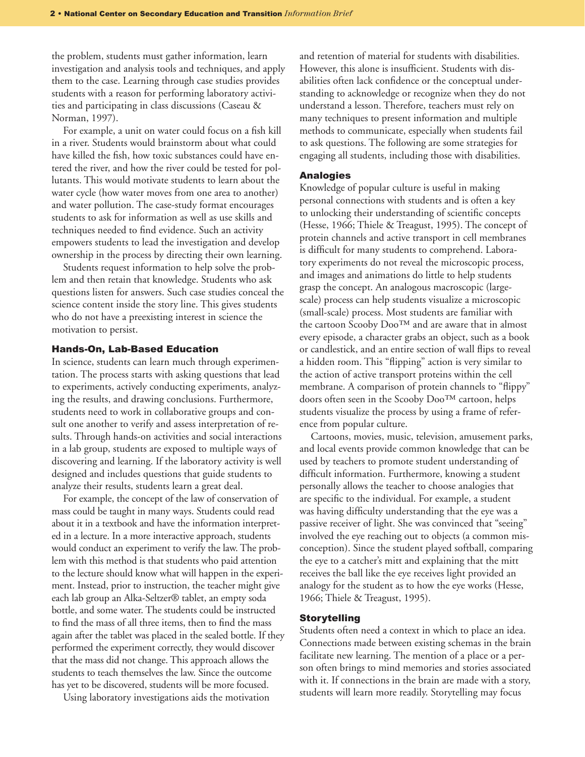the problem, students must gather information, learn investigation and analysis tools and techniques, and apply them to the case. Learning through case studies provides students with a reason for performing laboratory activities and participating in class discussions (Caseau & Norman, 1997).

For example, a unit on water could focus on a fish kill in a river. Students would brainstorm about what could have killed the fish, how toxic substances could have entered the river, and how the river could be tested for pollutants. This would motivate students to learn about the water cycle (how water moves from one area to another) and water pollution. The case-study format encourages students to ask for information as well as use skills and techniques needed to find evidence. Such an activity empowers students to lead the investigation and develop ownership in the process by directing their own learning.

Students request information to help solve the problem and then retain that knowledge. Students who ask questions listen for answers. Such case studies conceal the science content inside the story line. This gives students who do not have a preexisting interest in science the motivation to persist.

#### Hands-On, Lab-Based Education

In science, students can learn much through experimentation. The process starts with asking questions that lead to experiments, actively conducting experiments, analyzing the results, and drawing conclusions. Furthermore, students need to work in collaborative groups and consult one another to verify and assess interpretation of results. Through hands-on activities and social interactions in a lab group, students are exposed to multiple ways of discovering and learning. If the laboratory activity is well designed and includes questions that guide students to analyze their results, students learn a great deal.

For example, the concept of the law of conservation of mass could be taught in many ways. Students could read about it in a textbook and have the information interpreted in a lecture. In a more interactive approach, students would conduct an experiment to verify the law. The problem with this method is that students who paid attention to the lecture should know what will happen in the experiment. Instead, prior to instruction, the teacher might give each lab group an Alka-Seltzer® tablet, an empty soda bottle, and some water. The students could be instructed to find the mass of all three items, then to find the mass again after the tablet was placed in the sealed bottle. If they performed the experiment correctly, they would discover that the mass did not change. This approach allows the students to teach themselves the law. Since the outcome has yet to be discovered, students will be more focused.

Using laboratory investigations aids the motivation

and retention of material for students with disabilities. However, this alone is insufficient. Students with disabilities often lack confidence or the conceptual understanding to acknowledge or recognize when they do not understand a lesson. Therefore, teachers must rely on many techniques to present information and multiple methods to communicate, especially when students fail to ask questions. The following are some strategies for engaging all students, including those with disabilities.

#### Analogies

Knowledge of popular culture is useful in making personal connections with students and is often a key to unlocking their understanding of scientific concepts (Hesse, 1966; Thiele & Treagust, 1995). The concept of protein channels and active transport in cell membranes is difficult for many students to comprehend. Laboratory experiments do not reveal the microscopic process, and images and animations do little to help students grasp the concept. An analogous macroscopic (largescale) process can help students visualize a microscopic (small-scale) process. Most students are familiar with the cartoon Scooby Doo™ and are aware that in almost every episode, a character grabs an object, such as a book or candlestick, and an entire section of wall flips to reveal a hidden room. This "flipping" action is very similar to the action of active transport proteins within the cell membrane. A comparison of protein channels to "flippy" doors often seen in the Scooby Doo™ cartoon, helps students visualize the process by using a frame of reference from popular culture.

Cartoons, movies, music, television, amusement parks, and local events provide common knowledge that can be used by teachers to promote student understanding of difficult information. Furthermore, knowing a student personally allows the teacher to choose analogies that are specific to the individual. For example, a student was having difficulty understanding that the eye was a passive receiver of light. She was convinced that "seeing" involved the eye reaching out to objects (a common misconception). Since the student played softball, comparing the eye to a catcher's mitt and explaining that the mitt receives the ball like the eye receives light provided an analogy for the student as to how the eye works (Hesse, 1966; Thiele & Treagust, 1995).

#### **Storytelling**

Students often need a context in which to place an idea. Connections made between existing schemas in the brain facilitate new learning. The mention of a place or a person often brings to mind memories and stories associated with it. If connections in the brain are made with a story, students will learn more readily. Storytelling may focus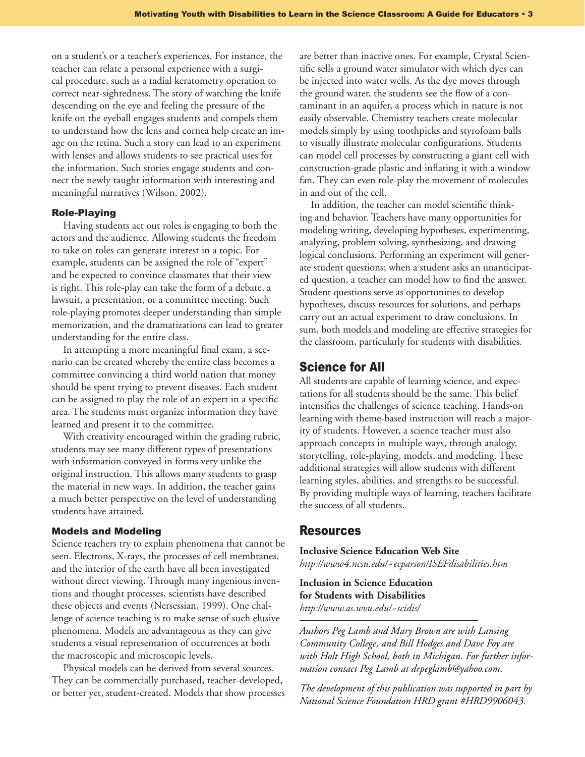on a student's or a teacher's experiences. For instance, the teacher can relate a personal experience with a surgical procedure, such as a radial keratometry operation to correct near-sightedness. The story of watching the knife descending on the eye and feeling the pressure of the knife on the eyeball engages students and compels them to understand how the lens and cornea help create an image on the retina. Such a story can lead to an experiment with lenses and allows students to see practical uses for the information. Such stories engage students and connect the newly taught information with interesting and meaningful narratives (Wilson, 2002).

#### Role-Playing

Having students act out roles is engaging to both the actors and the audience. Allowing students the freedom to take on roles can generate interest in a topic. For example, students can be assigned the role of "expert" and be expected to convince classmates that their view is right. This role-play can take the form of a debate, a lawsuit, a presentation, or a committee meeting. Such role-playing promotes deeper understanding than simple memorization, and the dramatizations can lead to greater understanding for the entire class.

In attempting a more meaningful final exam, a scenario can be created whereby the entire class becomes a committee convincing a third world nation that money should be spent trying to prevent diseases. Each student can be assigned to play the role of an expert in a specific area. The students must organize information they have learned and present it to the committee.

With creativity encouraged within the grading rubric, students may see many different types of presentations with information conveyed in forms very unlike the original instruction. This allows many students to grasp the material in new ways. In addition, the teacher gains a much better perspective on the level of understanding students have attained.

#### Models and Modeling

Science teachers try to explain phenomena that cannot be seen. Electrons, X-rays, the processes of cell membranes, and the interior of the earth have all been investigated without direct viewing. Through many ingenious inventions and thought processes, scientists have described these objects and events (Nersessian, 1999). One challenge of science teaching is to make sense of such elusive phenomena. Models are advantageous as they can give students a visual representation of occurrences at both the macroscopic and microscopic levels.

Physical models can be derived from several sources. They can be commercially purchased, teacher-developed, or better yet, student-created. Models that show processes are better than inactive ones. For example, Crystal Scientific sells a ground water simulator with which dyes can be injected into water wells. As the dye moves through the ground water, the students see the flow of a contaminant in an aquifer, a process which in nature is not easily observable. Chemistry teachers create molecular models simply by using toothpicks and styrofoam balls to visually illustrate molecular configurations. Students can model cell processes by constructing a giant cell with construction-grade plastic and inflating it with a window fan. They can even role-play the movement of molecules in and out of the cell.

In addition, the teacher can model scientific thinking and behavior. Teachers have many opportunities for modeling writing, developing hypotheses, experimenting, analyzing, problem solving, synthesizing, and drawing logical conclusions. Performing an experiment will generate student questions; when a student asks an unanticipated question, a teacher can model how to find the answer. Student questions serve as opportunities to develop hypotheses, discuss resources for solutions, and perhaps carry out an actual experiment to draw conclusions. In sum, both models and modeling are effective strategies for the classroom, particularly for students with disabilities.

#### Science for All

All students are capable of learning science, and expectations for all students should be the same. This belief intensifies the challenges of science teaching. Hands-on learning with theme-based instruction will reach a majority of students. However, a science teacher must also approach concepts in multiple ways, through analogy, storytelling, role-playing, models, and modeling. These additional strategies will allow students with different learning styles, abilities, and strengths to be successful. By providing multiple ways of learning, teachers facilitate the success of all students.

#### **Resources**

**Inclusive Science Education Web Site**

*http://www4.ncsu.edu/~ecparson/ISEFdisabilities.htm*

**Inclusion in Science Education for Students with Disabilities** *http://www.as.wvu.edu/~scidis/*

*Authors Peg Lamb and Mary Brown are with Lansing Community College, and Bill Hodges and Dave Foy are with Holt High School, both in Michigan. For further information contact Peg Lamb at drpeglamb@yahoo.com*.

*The development of this publication was supported in part by National Science Foundation HRD grant #HRD9906043.*